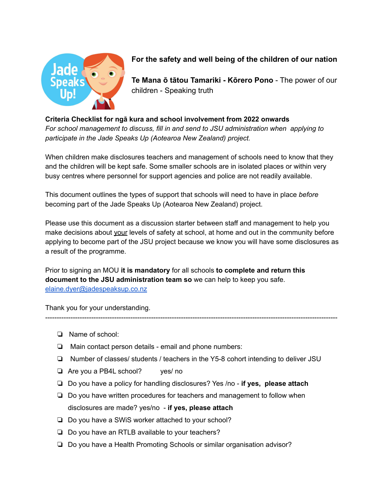

## **For the safety and well being of the children of our nation**

**Te Mana ō tātou Tamariki - Kōrero Pono** - The power of our children - Speaking truth

## **Criteria Checklist for ngā kura and school involvement from 2022 onwards**

*For school management to discuss, fill in and send to JSU administration when applying to participate in the Jade Speaks Up (Aotearoa New Zealand) project.*

When children make disclosures teachers and management of schools need to know that they and the children will be kept safe. Some smaller schools are in isolated places or within very busy centres where personnel for support agencies and police are not readily available.

This document outlines the types of support that schools will need to have in place *before* becoming part of the Jade Speaks Up (Aotearoa New Zealand) project.

Please use this document as a discussion starter between staff and management to help you make decisions about your levels of safety at school, at home and out in the community before applying to become part of the JSU project because we know you will have some disclosures as a result of the programme.

Prior to signing an MOU **it is mandatory** for all schools **to complete and return this document to the JSU administration team so** we can help to keep you safe. [elaine.dyer@jadespeaksup.co.nz](mailto:elaine.dyer@jadespeaksup.co.nz)

Thank you for your understanding.

- ❏ Name of school:
- ❏ Main contact person details email and phone numbers:
- ❏ Number of classes/ students / teachers in the Y5-8 cohort intending to deliver JSU

-------------------------------------------------------------------------------------------------------------------------------

- ❏ Are you a PB4L school? yes/ no
- ❏ Do you have a policy for handling disclosures? Yes /no **if yes, please attach**
- ❏ Do you have written procedures for teachers and management to follow when disclosures are made? yes/no - **if yes, please attach**
- ❏ Do you have a SWiS worker attached to your school?
- ❏ Do you have an RTLB available to your teachers?
- ❏ Do you have a Health Promoting Schools or similar organisation advisor?